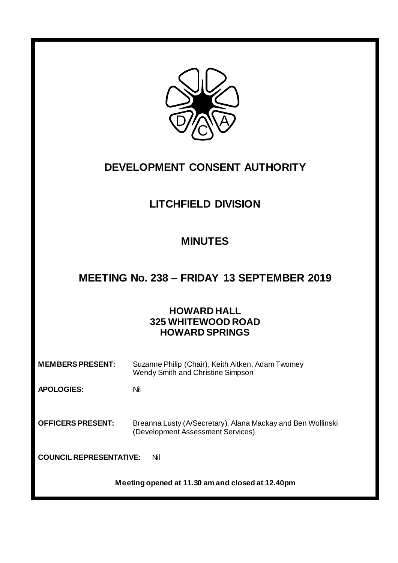

## **DEVELOPMENT CONSENT AUTHORITY**

# **LITCHFIELD DIVISION**

## **MINUTES**

# **MEETING No. 238 – FRIDAY 13 SEPTEMBER 2019**

## **HOWARD HALL 325 WHITEWOOD ROAD HOWARD SPRINGS**

| <b>MEMBERS PRESENT:</b>               | Suzanne Philip (Chair), Keith Aitken, Adam Twomey<br>Wendy Smith and Christine Simpson           |
|---------------------------------------|--------------------------------------------------------------------------------------------------|
| <b>APOLOGIES:</b>                     | Nil                                                                                              |
| <b>OFFICERS PRESENT:</b>              | Breanna Lusty (A/Secretary), Alana Mackay and Ben Wollinski<br>(Development Assessment Services) |
| <b>COUNCIL REPRESENTATIVE:</b><br>Nil |                                                                                                  |

**Meeting opened at 11.30 am and closed at 12.40pm**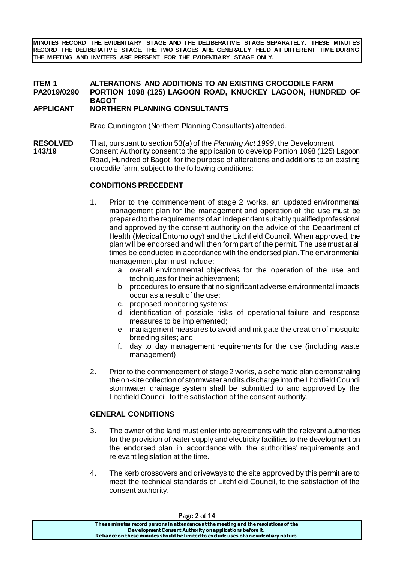**MINUTES RECORD THE EVIDENTIARY STAGE AND THE DELIBERATIV E STAGE SEPARATELY. THESE MINUTES RECORD THE DELIBERATIV E STAGE. THE TWO STAGES ARE GENERALLY HELD AT DIFFERENT TIME DURING THE MEETING AND INVITEES ARE PRESENT FOR THE EVIDENTIARY STAGE ONLY.**

### **ITEM 1 ALTERATIONS AND ADDITIONS TO AN EXISTING CROCODILE FARM PA2019/0290 PORTION 1098 (125) LAGOON ROAD, KNUCKEY LAGOON, HUNDRED OF BAGOT**

#### **APPLICANT NORTHERN PLANNING CONSULTANTS**

Brad Cunnington (Northern Planning Consultants) attended.

**RESOLVED** That, pursuant to section 53(a) of the *Planning Act 1999*, the Development **143/19** Consent Authority consent to the application to develop Portion 1098 (125) Lagoon Road, Hundred of Bagot, for the purpose of alterations and additions to an existing crocodile farm, subject to the following conditions:

#### **CONDITIONS PRECEDENT**

- 1. Prior to the commencement of stage 2 works, an updated environmental management plan for the management and operation of the use must be prepared to the requirements of an independent suitably qualified professional and approved by the consent authority on the advice of the Department of Health (Medical Entomology) and the Litchfield Council. When approved, the plan will be endorsed and will then form part of the permit. The use must at all times be conducted in accordance with the endorsed plan. The environmental management plan must include:
	- a. overall environmental objectives for the operation of the use and techniques for their achievement;
	- b. procedures to ensure that no significant adverse environmental impacts occur as a result of the use;
	- c. proposed monitoring systems;
	- d. identification of possible risks of operational failure and response measures to be implemented;
	- e. management measures to avoid and mitigate the creation of mosquito breeding sites; and
	- f. day to day management requirements for the use (including waste management).
- 2. Prior to the commencement of stage 2 works, a schematic plan demonstrating the on-site collection of stormwater and its discharge into the Litchfield Council stormwater drainage system shall be submitted to and approved by the Litchfield Council, to the satisfaction of the consent authority.

#### **GENERAL CONDITIONS**

- 3. The owner of the land must enter into agreements with the relevant authorities for the provision of water supply and electricity facilities to the development on the endorsed plan in accordance with the authorities' requirements and relevant legislation at the time.
- 4. The kerb crossovers and driveways to the site approved by this permit are to meet the technical standards of Litchfield Council, to the satisfaction of the consent authority.

| Page 2 of 14                                                                          |
|---------------------------------------------------------------------------------------|
| These minutes record persons in attendance at the meeting and the resolutions of the  |
| Development Consent Authority on applications before it.                              |
| Reliance on these minutes should be limited to exclude uses of an evidentiary nature. |
|                                                                                       |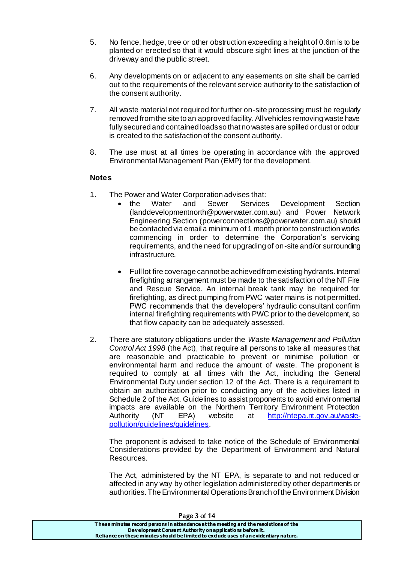- 5. No fence, hedge, tree or other obstruction exceeding a height of 0.6m is to be planted or erected so that it would obscure sight lines at the junction of the driveway and the public street.
- 6. Any developments on or adjacent to any easements on site shall be carried out to the requirements of the relevant service authority to the satisfaction of the consent authority.
- 7. All waste material not required for further on-site processing must be regularly removed from the site to an approved facility. All vehicles removing waste have fully secured and contained loads so that no wastes are spilled or dust or odour is created to the satisfaction of the consent authority.
- 8. The use must at all times be operating in accordance with the approved Environmental Management Plan (EMP) for the development.

#### **Notes**

- 1. The Power and Water Corporation advises that:
	- the Water and Sewer Services Development Section [\(landdevelopmentnorth@powerwater.com.au](mailto:landdevelopmentnorth@powerwater.com.au)) and Power Network Engineering Section [\(powerconnections@powerwater.com.au](mailto:powerconnections@powerwater.com.au)) should be contacted via email a minimum of 1 month prior to construction works commencing in order to determine the Corporation's servicing requirements, and the need for upgrading of on-site and/or surrounding infrastructure.
	- Full lot fire coverage cannot be achieved from existing hydrants. Internal firefighting arrangement must be made to the satisfaction of the NT Fire and Rescue Service. An internal break tank may be required for firefighting, as direct pumping from PWC water mains is not permitted. PWC recommends that the developers' hydraulic consultant confirm internal firefighting requirements with PWC prior to the development, so that flow capacity can be adequately assessed.
- 2. There are statutory obligations under the *Waste Management and Pollution Control Act 1998* (the Act), that require all persons to take all measures that are reasonable and practicable to prevent or minimise pollution or environmental harm and reduce the amount of waste. The proponent is required to comply at all times with the Act, including the General Environmental Duty under section 12 of the Act. There is a requirement to obtain an authorisation prior to conducting any of the activities listed in Schedule 2 of the Act. Guidelines to assist proponents to avoid environmental impacts are available on the Northern Territory Environment Protection Authority (NT EPA) website at [http://ntepa.nt.gov.au/waste](http://ntepa.nt.gov.au/waste-pollution/guidelines/guidelines)[pollution/guidelines/guidelines](http://ntepa.nt.gov.au/waste-pollution/guidelines/guidelines).

The proponent is advised to take notice of the Schedule of Environmental Considerations provided by the Department of Environment and Natural Resources.

The Act, administered by the NT EPA, is separate to and not reduced or affected in any way by other legislation administered by other departments or authorities. The Environmental Operations Branch of the Environment Division

| Page 3 of 14                                                                          |  |
|---------------------------------------------------------------------------------------|--|
| These minutes record persons in attendance at the meeting and the resolutions of the  |  |
| Development Consent Authority on applications before it.                              |  |
| Reliance on these minutes should be limited to exclude uses of an evidentiary nature. |  |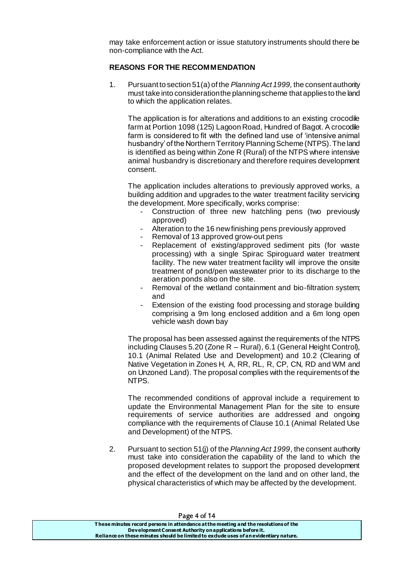may take enforcement action or issue statutory instruments should there be non-compliance with the Act.

#### **REASONS FOR THE RECOMMENDATION**

1. Pursuant to section 51(a) of the *Planning Act 1999,* the consent authority must take into consideration the planning scheme that applies to the land to which the application relates.

The application is for alterations and additions to an existing crocodile farm at Portion 1098 (125) Lagoon Road, Hundred of Bagot. A crocodile farm is considered to fit with the defined land use of 'intensive animal husbandry' of the Northern Territory Planning Scheme (NTPS). The land is identified as being within Zone R (Rural) of the NTPS where intensive animal husbandry is discretionary and therefore requires development consent.

The application includes alterations to previously approved works, a building addition and upgrades to the water treatment facility servicing the development. More specifically, works comprise:

- Construction of three new hatchling pens (two previously approved)
- Alteration to the 16 new finishing pens previously approved
- Removal of 13 approved grow-out pens
- Replacement of existing/approved sediment pits (for waste processing) with a single Spirac Spiroguard water treatment facility. The new water treatment facility will improve the onsite treatment of pond/pen wastewater prior to its discharge to the aeration ponds also on the site.
- Removal of the wetland containment and bio-filtration system; and
- Extension of the existing food processing and storage building comprising a 9m long enclosed addition and a 6m long open vehicle wash down bay

The proposal has been assessed against the requirements of the NTPS including Clauses 5.20 (Zone R – Rural), 6.1 (General Height Control), 10.1 (Animal Related Use and Development) and 10.2 (Clearing of Native Vegetation in Zones H, A, RR, RL, R, CP, CN, RD and WM and on Unzoned Land). The proposal complies with the requirements of the NTPS.

The recommended conditions of approval include a requirement to update the Environmental Management Plan for the site to ensure requirements of service authorities are addressed and ongoing compliance with the requirements of Clause 10.1 (Animal Related Use and Development) of the NTPS.

2. Pursuant to section 51(j) of the *Planning Act 1999*, the consent authority must take into consideration the capability of the land to which the proposed development relates to support the proposed development and the effect of the development on the land and on other land, the physical characteristics of which may be affected by the development.

| Page 4 or 14                                                                          |  |
|---------------------------------------------------------------------------------------|--|
| These minutes record persons in attendance at the meeting and the resolutions of the  |  |
| Development Consent Authority on applications before it.                              |  |
| Reliance on these minutes should be limited to exclude uses of an evidentiary nature. |  |

Page 4 of 14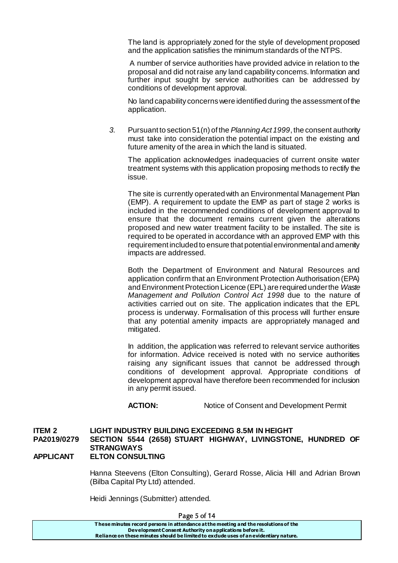The land is appropriately zoned for the style of development proposed and the application satisfies the minimum standards of the NTPS.

A number of service authorities have provided advice in relation to the proposal and did not raise any land capability concerns. Information and further input sought by service authorities can be addressed by conditions of development approval.

No land capability concerns were identified during the assessment of the application.

*3.* Pursuant to section 51(n) of the *Planning Act 1999*, the consent authority must take into consideration the potential impact on the existing and future amenity of the area in which the land is situated.

The application acknowledges inadequacies of current onsite water treatment systems with this application proposing methods to rectify the issue.

The site is currently operated with an Environmental Management Plan (EMP). A requirement to update the EMP as part of stage 2 works is included in the recommended conditions of development approval to ensure that the document remains current given the alterations proposed and new water treatment facility to be installed. The site is required to be operated in accordance with an approved EMP with this requirement included to ensure that potential environmental and amenity impacts are addressed.

Both the Department of Environment and Natural Resources and application confirm that an Environment Protection Authorisation (EPA) and Environment Protection Licence (EPL) are required under the *Waste Management and Pollution Control Act 1998* due to the nature of activities carried out on site. The application indicates that the EPL process is underway. Formalisation of this process will further ensure that any potential amenity impacts are appropriately managed and mitigated.

In addition, the application was referred to relevant service authorities for information. Advice received is noted with no service authorities raising any significant issues that cannot be addressed through conditions of development approval. Appropriate conditions of development approval have therefore been recommended for inclusion in any permit issued.

**ACTION:** Notice of Consent and Development Permit

#### **ITEM 2 LIGHT INDUSTRY BUILDING EXCEEDING 8.5M IN HEIGHT PA2019/0279 SECTION 5544 (2658) STUART HIGHWAY, LIVINGSTONE, HUNDRED OF STRANGWAYS APPLICANT ELTON CONSULTING**

Hanna Steevens (Elton Consulting), Gerard Rosse, Alicia Hill and Adrian Brown (Bilba Capital Pty Ltd) attended.

Heidi Jennings (Submitter) attended.

**T hese minutes record persons in attendance at the meeting and the resolutions of the Development Consent Authority on applications before it. Reliance on these minutes should be limited to exclude uses of an evidentiary nature.**

#### Page 5 of 14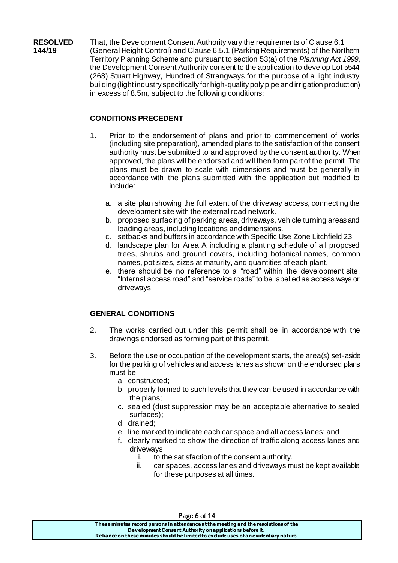**RESOLVED** That, the Development Consent Authority vary the requirements of Clause 6.1 **144/19** (General Height Control) and Clause 6.5.1 (Parking Requirements) of the Northern Territory Planning Scheme and pursuant to section 53(a) of the *Planning Act 1999*, the Development Consent Authority consent to the application to develop Lot 5544 (268) Stuart Highway, Hundred of Strangways for the purpose of a light industry building (light industry specifically for high-quality poly pipe and irrigation production) in excess of 8.5m, subject to the following conditions:

### **CONDITIONS PRECEDENT**

- 1. Prior to the endorsement of plans and prior to commencement of works (including site preparation), amended plans to the satisfaction of the consent authority must be submitted to and approved by the consent authority. When approved, the plans will be endorsed and will then form part of the permit. The plans must be drawn to scale with dimensions and must be generally in accordance with the plans submitted with the application but modified to include:
	- a. a site plan showing the full extent of the driveway access, connecting the development site with the external road network.
	- b. proposed surfacing of parking areas, driveways, vehicle turning areas and loading areas, including locations and dimensions.
	- c. setbacks and buffers in accordance with Specific Use Zone Litchfield 23
	- d. landscape plan for Area A including a planting schedule of all proposed trees, shrubs and ground covers, including botanical names, common names, pot sizes, sizes at maturity, and quantities of each plant.
	- e. there should be no reference to a "road" within the development site. "Internal access road" and "service roads" to be labelled as access ways or driveways.

### **GENERAL CONDITIONS**

- 2. The works carried out under this permit shall be in accordance with the drawings endorsed as forming part of this permit.
- 3. Before the use or occupation of the development starts, the area(s) set-aside for the parking of vehicles and access lanes as shown on the endorsed plans must be:
	- a. constructed;
	- b. properly formed to such levels that they can be used in accordance with the plans;
	- c. sealed (dust suppression may be an acceptable alternative to sealed surfaces);
	- d. drained;
	- e. line marked to indicate each car space and all access lanes; and
	- f. clearly marked to show the direction of traffic along access lanes and driveways
		- i. to the satisfaction of the consent authority.
		- ii. car spaces, access lanes and driveways must be kept available for these purposes at all times.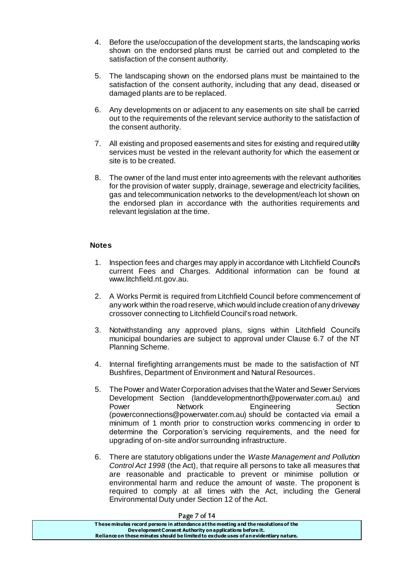- 4. Before the use/occupation of the development starts, the landscaping works shown on the endorsed plans must be carried out and completed to the satisfaction of the consent authority.
- 5. The landscaping shown on the endorsed plans must be maintained to the satisfaction of the consent authority, including that any dead, diseased or damaged plants are to be replaced.
- 6. Any developments on or adjacent to any easements on site shall be carried out to the requirements of the relevant service authority to the satisfaction of the consent authority.
- 7. All existing and proposed easements and sites for existing and required utility services must be vested in the relevant authority for which the easement or site is to be created.
- 8. The owner of the land must enter into agreements with the relevant authorities for the provision of water supply, drainage, sewerage and electricity facilities, gas and telecommunication networks to the development/each lot shown on the endorsed plan in accordance with the authorities requirements and relevant legislation at the time.

#### **Notes**

- 1. Inspection fees and charges may apply in accordance with Litchfield Council's current Fees and Charges. Additional information can be found at www.litchfield.nt.gov.au.
- 2. A Works Permit is required from Litchfield Council before commencement of any work within the road reserve, which would include creation of any driveway crossover connecting to Litchfield Council's road network.
- 3. Notwithstanding any approved plans, signs within Litchfield Council's municipal boundaries are subject to approval under Clause 6.7 of the NT Planning Scheme.
- 4. Internal firefighting arrangements must be made to the satisfaction of NT Bushfires, Department of Environment and Natural Resources.
- 5. The Power and Water Corporation advises that the Water and Sewer Services Development Section (landdevelopmentnorth@powerwater.com.au) and **Network Engineering Section** (powerconnections@powerwater.com.au) should be contacted via email a minimum of 1 month prior to construction works commencing in order to determine the Corporation's servicing requirements, and the need for upgrading of on-site and/or surrounding infrastructure.
- 6. There are statutory obligations under the *Waste Management and Pollution Control Act 1998* (the Act), that require all persons to take all measures that are reasonable and practicable to prevent or minimise pollution or environmental harm and reduce the amount of waste. The proponent is required to comply at all times with the Act, including the General Environmental Duty under Section 12 of the Act.

| Page / or 14                                                                          |  |
|---------------------------------------------------------------------------------------|--|
| These minutes record persons in attendance at the meeting and the resolutions of the  |  |
| Development Consent Authority on applications before it.                              |  |
| Reliance on these minutes should be limited to exclude uses of an evidentiary nature. |  |
|                                                                                       |  |

 $P^2$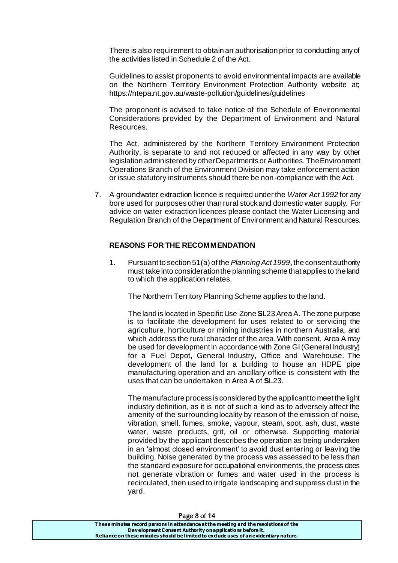There is also requirement to obtain an authorisation prior to conducting any of the activities listed in Schedule 2 of the Act.

Guidelines to assist proponents to avoid environmental impacts are available on the Northern Territory Environment Protection Authority website at; <https://ntepa.nt.gov.au/waste-pollution/guidelines/guidelines>

The proponent is advised to take notice of the Schedule of Environmental Considerations provided by the Department of Environment and Natural Resources.

The Act, administered by the Northern Territory Environment Protection Authority, is separate to and not reduced or affected in any way by other legislation administered by other Departments or Authorities. The Environment Operations Branch of the Environment Division may take enforcement action or issue statutory instruments should there be non-compliance with the Act.

7. A groundwater extraction licence is required under the *Water Act 1992* for any bore used for purposes other than rural stock and domestic water supply. For advice on water extraction licences please contact the Water Licensing and Regulation Branch of the Department of Environment and Natural Resources.

#### **REASONS FOR THE RECOMMENDATION**

1. Pursuant to section 51(a) of the *Planning Act 1999*, the consent authority must take into consideration the planning scheme that applies to the land to which the application relates.

The Northern Territory Planning Scheme applies to the land.

The land is located in Specific Use Zone **S**L23 Area A. The zone purpose is to facilitate the development for uses related to or servicing the agriculture, horticulture or mining industries in northern Australia, and which address the rural character of the area. With consent, Area A may be used for development in accordance with Zone GI (General Industry) for a Fuel Depot, General Industry, Office and Warehouse. The development of the land for a building to house an HDPE pipe manufacturing operation and an ancillary office is consistent with the uses that can be undertaken in Area A of **S**L23.

The manufacture process is considered by the applicant to meet the light industry definition, as it is not of such a kind as to adversely affect the amenity of the surrounding locality by reason of the emission of noise, vibration, smell, fumes, smoke, vapour, steam, soot, ash, dust, waste water, waste products, grit, oil or otherwise. Supporting material provided by the applicant describes the operation as being undertaken in an 'almost closed environment' to avoid dust entering or leaving the building. Noise generated by the process was assessed to be less than the standard exposure for occupational environments, the process does not generate vibration or fumes and water used in the process is recirculated, then used to irrigate landscaping and suppress dust in the yard.

#### Page 8 of 14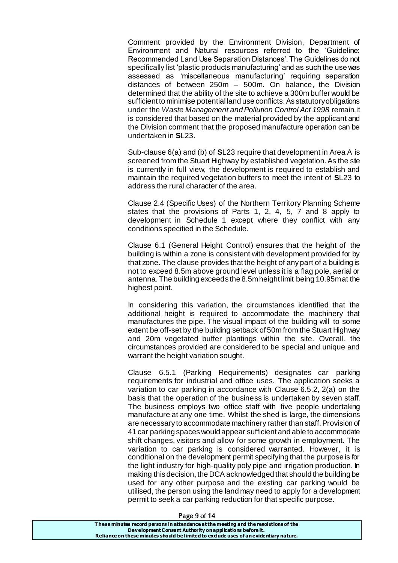Comment provided by the Environment Division, Department of Environment and Natural resources referred to the 'Guideline: Recommended Land Use Separation Distances'. The Guidelines do not specifically list 'plastic products manufacturing' and as such the use was assessed as 'miscellaneous manufacturing' requiring separation distances of between 250m – 500m. On balance, the Division determined that the ability of the site to achieve a 300m buffer would be sufficient to minimise potential land use conflicts. As statutory obligations under the *Waste Management and Pollution Control Act 1998* remain, it is considered that based on the material provided by the applicant and the Division comment that the proposed manufacture operation can be undertaken in **S**L23.

Sub-clause 6(a) and (b) of **S**L23 require that development in Area A is screened from the Stuart Highway by established vegetation. As the site is currently in full view, the development is required to establish and maintain the required vegetation buffers to meet the intent of **S**L23 to address the rural character of the area.

Clause 2.4 (Specific Uses) of the Northern Territory Planning Scheme states that the provisions of Parts 1, 2, 4, 5, 7 and 8 apply to development in Schedule 1 except where they conflict with any conditions specified in the Schedule.

Clause 6.1 (General Height Control) ensures that the height of the building is within a zone is consistent with development provided for by that zone. The clause provides that the height of any part of a building is not to exceed 8.5m above ground level unless it is a flag pole, aerial or antenna. The building exceeds the 8.5m height limit being 10.95m at the highest point.

In considering this variation, the circumstances identified that the additional height is required to accommodate the machinery that manufactures the pipe. The visual impact of the building will to some extent be off-set by the building setback of 50m from the Stuart Highway and 20m vegetated buffer plantings within the site. Overall, the circumstances provided are considered to be special and unique and warrant the height variation sought.

Clause 6.5.1 (Parking Requirements) designates car parking requirements for industrial and office uses. The application seeks a variation to car parking in accordance with Clause 6.5.2, 2(a) on the basis that the operation of the business is undertaken by seven staff. The business employs two office staff with five people undertaking manufacture at any one time. Whilst the shed is large, the dimensions are necessary to accommodate machinery rather than staff. Provision of 41 car parking spaces would appear sufficient and able to accommodate shift changes, visitors and allow for some growth in employment. The variation to car parking is considered warranted. However, it is conditional on the development permit specifying that the purpose is for the light industry for high-quality poly pipe and irrigation production. In making this decision, the DCA acknowledged that should the building be used for any other purpose and the existing car parking would be utilised, the person using the land may need to apply for a development permit to seek a car parking reduction for that specific purpose.

| 1.48230111                                                                            |  |
|---------------------------------------------------------------------------------------|--|
| These minutes record persons in attendance at the meeting and the resolutions of the  |  |
| Development Consent Authority on applications before it.                              |  |
| Reliance on these minutes should be limited to exclude uses of an evidentiary nature. |  |
|                                                                                       |  |

#### Page 9 of 14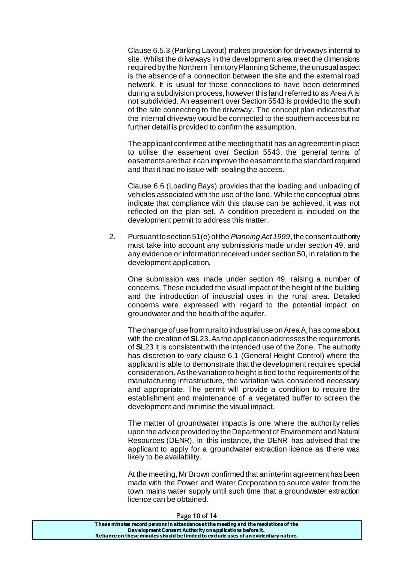Clause 6.5.3 (Parking Layout) makes provision for driveways internal to site. Whilst the driveways in the development area meet the dimensions required by the Northern Territory Planning Scheme, the unusual aspect is the absence of a connection between the site and the external road network. It is usual for those connections to have been determined during a subdivision process, however this land referred to as Area A is not subdivided. An easement over Section 5543 is provided to the south of the site connecting to the driveway. The concept plan indicates that the internal driveway would be connected to the southern access but no further detail is provided to confirm the assumption.

The applicant confirmed at the meeting that it has an agreement in place to utilise the easement over Section 5543, the general terms of easements are that it can improve the easement to the standard required and that it had no issue with sealing the access.

Clause 6.6 (Loading Bays) provides that the loading and unloading of vehicles associated with the use of the land. While the conceptual plans indicate that compliance with this clause can be achieved, it was not reflected on the plan set. A condition precedent is included on the development permit to address this matter.

2. Pursuant to section 51(e) of the *Planning Act 1999*, the consent authority must take into account any submissions made under section 49, and any evidence or information received under section 50, in relation to the development application.

One submission was made under section 49, raising a number of concerns. These included the visual impact of the height of the building and the introduction of industrial uses in the rural area. Detailed concerns were expressed with regard to the potential impact on groundwater and the health of the aquifer.

The change of use from rural to industrial use on Area A, has come about with the creation of **S**L23. As the application addresses the requirements of **S**L23 it is consistent with the intended use of the Zone. The authority has discretion to vary clause 6.1 (General Height Control) where the applicant is able to demonstrate that the development requires special consideration. As the variation to height is tied to the requirements of the manufacturing infrastructure, the variation was considered necessary and appropriate. The permit will provide a condition to require the establishment and maintenance of a vegetated buffer to screen the development and minimise the visual impact.

The matter of groundwater impacts is one where the authority relies upon the advice provided by the Department of Environment and Natural Resources (DENR). In this instance, the DENR has advised that the applicant to apply for a groundwater extraction licence as there was likely to be availability.

At the meeting, Mr Brown confirmed that an interim agreement has been made with the Power and Water Corporation to source water from the town mains water supply until such time that a groundwater extraction licence can be obtained.

#### Page 10 of 14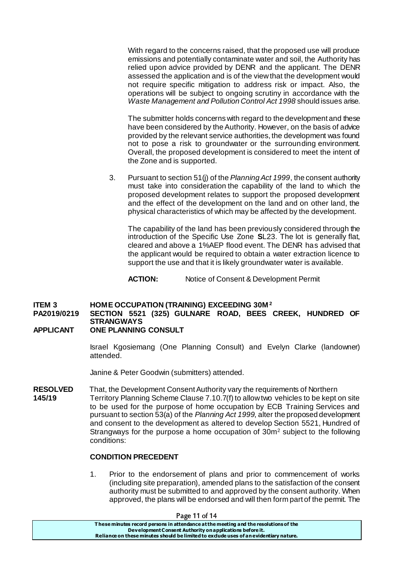With regard to the concerns raised, that the proposed use will produce emissions and potentially contaminate water and soil, the Authority has relied upon advice provided by DENR and the applicant. The DENR assessed the application and is of the view that the development would not require specific mitigation to address risk or impact. Also, the operations will be subject to ongoing scrutiny in accordance with the *Waste Management and Pollution Control Act 1998* should issues arise.

The submitter holds concerns with regard to the development and these have been considered by the Authority. However, on the basis of advice provided by the relevant service authorities, the development was found not to pose a risk to groundwater or the surrounding environment. Overall, the proposed development is considered to meet the intent of the Zone and is supported.

3. Pursuant to section 51(j) of the *Planning Act 1999*, the consent authority must take into consideration the capability of the land to which the proposed development relates to support the proposed development and the effect of the development on the land and on other land, the physical characteristics of which may be affected by the development.

The capability of the land has been previously considered through the introduction of the Specific Use Zone **S**L23. The lot is generally flat, cleared and above a 1%AEP flood event. The DENR has advised that the applicant would be required to obtain a water extraction licence to support the use and that it is likely groundwater water is available.

**ACTION:** Notice of Consent & Development Permit

#### **ITEM 3 HOME OCCUPATION (TRAINING) EXCEEDING 30M <sup>2</sup>**

### **PA2019/0219 SECTION 5521 (325) GULNARE ROAD, BEES CREEK, HUNDRED OF STRANGWAYS**

#### **APPLICANT ONE PLANNING CONSULT**

Israel Kgosiemang (One Planning Consult) and Evelyn Clarke (landowner) attended.

Janine & Peter Goodwin (submitters) attended.

**RESOLVED** That, the Development Consent Authority vary the requirements of Northern **145/19** Territory Planning Scheme Clause 7.10.7(f) to allow two vehicles to be kept on site to be used for the purpose of home occupation by ECB Training Services and pursuant to section 53(a) of the *Planning Act 1999*, alter the proposed development and consent to the development as altered to develop Section 5521, Hundred of Strangways for the purpose a home occupation of  $30m^2$  subject to the following conditions:

#### **CONDITION PRECEDENT**

1. Prior to the endorsement of plans and prior to commencement of works (including site preparation), amended plans to the satisfaction of the consent authority must be submitted to and approved by the consent authority. When approved, the plans will be endorsed and will then form part of the permit. The

| Page 11 of 14                                                                                                                                                                                                                             |  |
|-------------------------------------------------------------------------------------------------------------------------------------------------------------------------------------------------------------------------------------------|--|
| These minutes record persons in attendance at the meeting and the resolutions of the<br>Development Consent Authority on applications before it.<br>Reliance on these minutes should be limited to exclude uses of an evidentiary nature. |  |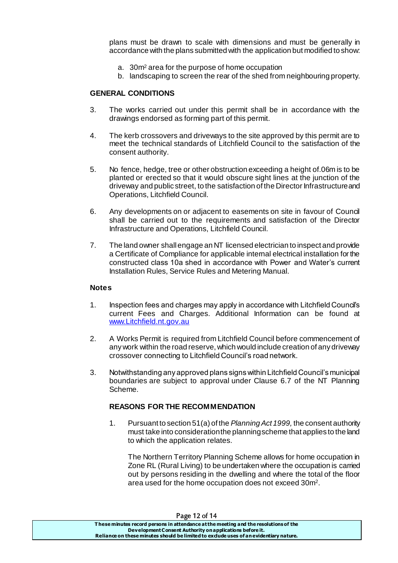plans must be drawn to scale with dimensions and must be generally in accordance with the plans submitted with the application but modified to show:

- a. 30m<sup>2</sup> area for the purpose of home occupation
- b. landscaping to screen the rear of the shed from neighbouring property.

#### **GENERAL CONDITIONS**

- 3. The works carried out under this permit shall be in accordance with the drawings endorsed as forming part of this permit.
- 4. The kerb crossovers and driveways to the site approved by this permit are to meet the technical standards of Litchfield Council to the satisfaction of the consent authority.
- 5. No fence, hedge, tree or other obstruction exceeding a height of.06m is to be planted or erected so that it would obscure sight lines at the junction of the driveway and public street, to the satisfaction of the Director Infrastructure and Operations, Litchfield Council.
- 6. Any developments on or adjacent to easements on site in favour of Council shall be carried out to the requirements and satisfaction of the Director Infrastructure and Operations, Litchfield Council.
- 7. The land owner shall engage an NT licensed electrician to inspect and provide a Certificate of Compliance for applicable internal electrical installation for the constructed class 10a shed in accordance with Power and Water's current Installation Rules, Service Rules and Metering Manual.

#### **Notes**

- 1. Inspection fees and charges may apply in accordance with Litchfield Council's current Fees and Charges. Additional Information can be found at [www.Litchfield.nt.gov.au](http://www.litchfield.nt.gov.au/)
- 2. A Works Permit is required from Litchfield Council before commencement of any work within the road reserve, which would include creation of any driveway crossover connecting to Litchfield Council's road network.
- 3. Notwithstanding any approved plans signs within Litchfield Council's municipal boundaries are subject to approval under Clause 6.7 of the NT Planning Scheme.

#### **REASONS FOR THE RECOMMENDATION**

1. Pursuant to section 51(a) of the *Planning Act 1999,* the consent authority must take into consideration the planning scheme that applies to the land to which the application relates.

The Northern Territory Planning Scheme allows for home occupation in Zone RL (Rural Living) to be undertaken where the occupation is carried out by persons residing in the dwelling and where the total of the floor area used for the home occupation does not exceed 30m<sup>2</sup>.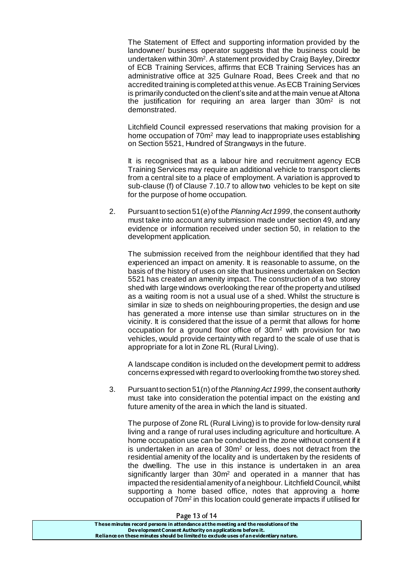The Statement of Effect and supporting information provided by the landowner/ business operator suggests that the business could be undertaken within 30m<sup>2</sup> . A statement provided by Craig Bayley, Director of ECB Training Services, affirms that ECB Training Services has an administrative office at 325 Gulnare Road, Bees Creek and that no accredited training is completed at this venue. As ECB Training Services is primarily conducted on the client's site and at the main venue at Altona the justification for requiring an area larger than 30m<sup>2</sup> is not demonstrated.

Litchfield Council expressed reservations that making provision for a home occupation of 70m<sup>2</sup> may lead to inappropriate uses establishing on Section 5521, Hundred of Strangways in the future.

It is recognised that as a labour hire and recruitment agency ECB Training Services may require an additional vehicle to transport clients from a central site to a place of employment. A variation is approved to sub-clause (f) of Clause 7.10.7 to allow two vehicles to be kept on site for the purpose of home occupation.

2. Pursuant to section 51(e) of the *Planning Act 1999*, the consent authority must take into account any submission made under section 49, and any evidence or information received under section 50, in relation to the development application.

The submission received from the neighbour identified that they had experienced an impact on amenity. It is reasonable to assume, on the basis of the history of uses on site that business undertaken on Section 5521 has created an amenity impact. The construction of a two storey shed with large windows overlooking the rear of the property and utilised as a waiting room is not a usual use of a shed. Whilst the structure is similar in size to sheds on neighbouring properties, the design and use has generated a more intense use than similar structures on in the vicinity. It is considered that the issue of a permit that allows for home occupation for a ground floor office of 30m<sup>2</sup> with provision for two vehicles, would provide certainty with regard to the scale of use that is appropriate for a lot in Zone RL (Rural Living).

A landscape condition is included on the development permit to address concerns expressed with regard to overlooking from the two storey shed.

3. Pursuant to section 51(n) of the *Planning Act 1999*, the consent authority must take into consideration the potential impact on the existing and future amenity of the area in which the land is situated.

The purpose of Zone RL (Rural Living) is to provide for low-density rural living and a range of rural uses including agriculture and horticulture. A home occupation use can be conducted in the zone without consent if it is undertaken in an area of 30m<sup>2</sup> or less, does not detract from the residential amenity of the locality and is undertaken by the residents of the dwelling. The use in this instance is undertaken in an area significantly larger than  $30<sup>m</sup>$  and operated in a manner that has impacted the residential amenity of a neighbour. Litchfield Council, whilst supporting a home based office, notes that approving a home occupation of 70m<sup>2</sup> in this location could generate impacts if utilised for

| דו וט כו סצגס ו                                                                       |
|---------------------------------------------------------------------------------------|
| These minutes record persons in attendance at the meeting and the resolutions of the  |
| Development Consent Authority on applications before it.                              |
| Reliance on these minutes should be limited to exclude uses of an evidentiary nature. |
|                                                                                       |

Page 13 of 14